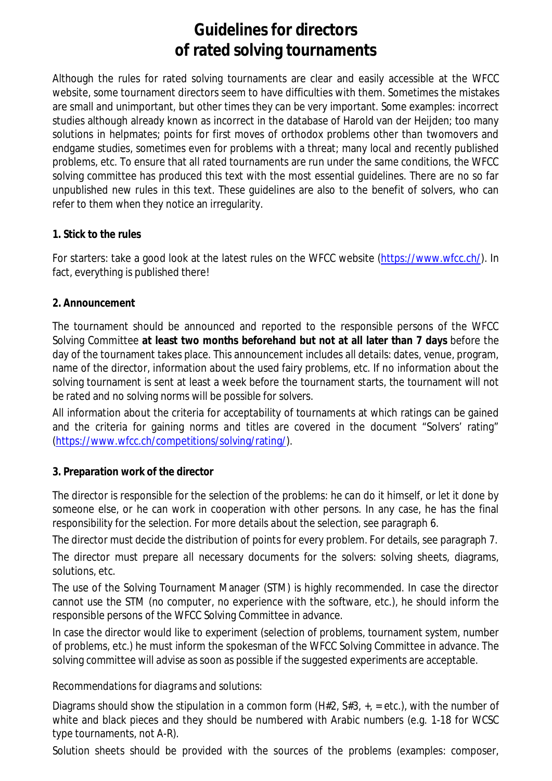# **Guidelines for directors of rated solving tournaments**

Although the rules for rated solving tournaments are clear and easily accessible at the WFCC website, some tournament directors seem to have difficulties with them. Sometimes the mistakes are small and unimportant, but other times they can be very important. Some examples: incorrect studies although already known as incorrect in the database of Harold van der Heijden; too many solutions in helpmates; points for first moves of orthodox problems other than twomovers and endgame studies, sometimes even for problems with a threat; many local and recently published problems, etc. To ensure that all rated tournaments are run under the same conditions, the WFCC solving committee has produced this text with the most essential guidelines. There are no so far unpublished new rules in this text. These guidelines are also to the benefit of solvers, who can refer to them when they notice an irregularity.

## **1. Stick to the rules**

For starters: take a good look at the latest rules on the WFCC website (https://www.wfcc.ch/). In fact, everything is published there!

#### **2. Announcement**

The tournament should be announced and reported to the responsible persons of the WFCC Solving Committee **at least two months beforehand but not at all later than 7 days** before the day of the tournament takes place. This announcement includes all details: dates, venue, program, name of the director, information about the used fairy problems, etc. If no information about the solving tournament is sent at least a week before the tournament starts, the tournament will not be rated and no solving norms will be possible for solvers.

All information about the criteria for acceptability of tournaments at which ratings can be gained and the criteria for gaining norms and titles are covered in the document "Solvers' rating" (https://www.wfcc.ch/competitions/solving/rating/).

## **3. Preparation work of the director**

The director is responsible for the selection of the problems: he can do it himself, or let it done by someone else, or he can work in cooperation with other persons. In any case, he has the final responsibility for the selection. For more details about the selection, see paragraph 6.

The director must decide the distribution of points for every problem. For details, see paragraph 7. The director must prepare all necessary documents for the solvers: solving sheets, diagrams,

solutions, etc.

The use of the Solving Tournament Manager (STM) is highly recommended. In case the director cannot use the STM (no computer, no experience with the software, etc.), he should inform the responsible persons of the WFCC Solving Committee in advance.

In case the director would like to experiment (selection of problems, tournament system, number of problems, etc.) he must inform the spokesman of the WFCC Solving Committee in advance. The solving committee will advise as soon as possible if the suggested experiments are acceptable.

## *Recommendations for diagrams and solutions:*

Diagrams should show the stipulation in a common form ( $H#2$ ,  $H^2$ ,  $H^2$ ,  $H^2$ ,  $H^2$ ,  $H^2$ ), with the number of white and black pieces and they should be numbered with Arabic numbers (e.g. 1-18 for WCSC type tournaments, not A-R).

Solution sheets should be provided with the sources of the problems (examples: composer,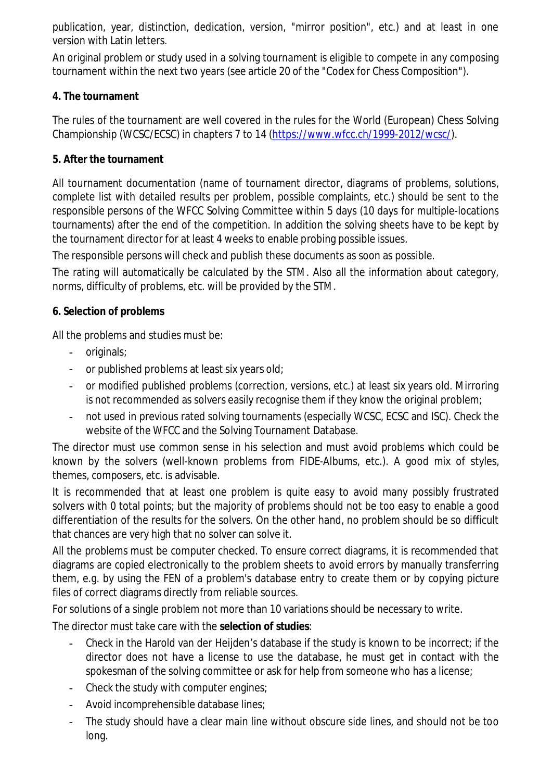publication, year, distinction, dedication, version, "mirror position", etc.) and at least in one version with Latin letters.

An original problem or study used in a solving tournament is eligible to compete in any composing tournament within the next two years (see article 20 of the "Codex for Chess Composition").

# **4. The tournament**

The rules of the tournament are well covered in the rules for the World (European) Chess Solving Championship (WCSC/ECSC) in chapters 7 to 14 (https://www.wfcc.ch/1999-2012/wcsc/).

## **5. After the tournament**

All tournament documentation (name of tournament director, diagrams of problems, solutions, complete list with detailed results per problem, possible complaints, etc.) should be sent to the responsible persons of the WFCC Solving Committee within 5 days (10 days for multiple-locations tournaments) after the end of the competition. In addition the solving sheets have to be kept by the tournament director for at least 4 weeks to enable probing possible issues.

The responsible persons will check and publish these documents as soon as possible.

The rating will automatically be calculated by the STM. Also all the information about category, norms, difficulty of problems, etc. will be provided by the STM.

# **6. Selection of problems**

All the problems and studies must be:

- originals;
- or published problems at least six years old;
- or modified published problems (correction, versions, etc.) at least six years old. Mirroring is not recommended as solvers easily recognise them if they know the original problem;
- not used in previous rated solving tournaments (especially WCSC, ECSC and ISC). Check the website of the WFCC and the Solving Tournament Database.

The director must use common sense in his selection and must avoid problems which could be known by the solvers (well-known problems from FIDE-Albums, etc.). A good mix of styles, themes, composers, etc. is advisable.

It is recommended that at least one problem is quite easy to avoid many possibly frustrated solvers with 0 total points; but the majority of problems should not be too easy to enable a good differentiation of the results for the solvers. On the other hand, no problem should be so difficult that chances are very high that no solver can solve it.

All the problems must be computer checked. To ensure correct diagrams, it is recommended that diagrams are copied electronically to the problem sheets to avoid errors by manually transferring them, e.g. by using the FEN of a problem's database entry to create them or by copying picture files of correct diagrams directly from reliable sources.

For solutions of a single problem not more than 10 variations should be necessary to write.

The director must take care with the **selection of studies**:

- Check in the Harold van der Heijden's database if the study is known to be incorrect; if the director does not have a license to use the database, he must get in contact with the spokesman of the solving committee or ask for help from someone who has a license;
- Check the study with computer engines;
- Avoid incomprehensible database lines;
- The study should have a clear main line without obscure side lines, and should not be too long.